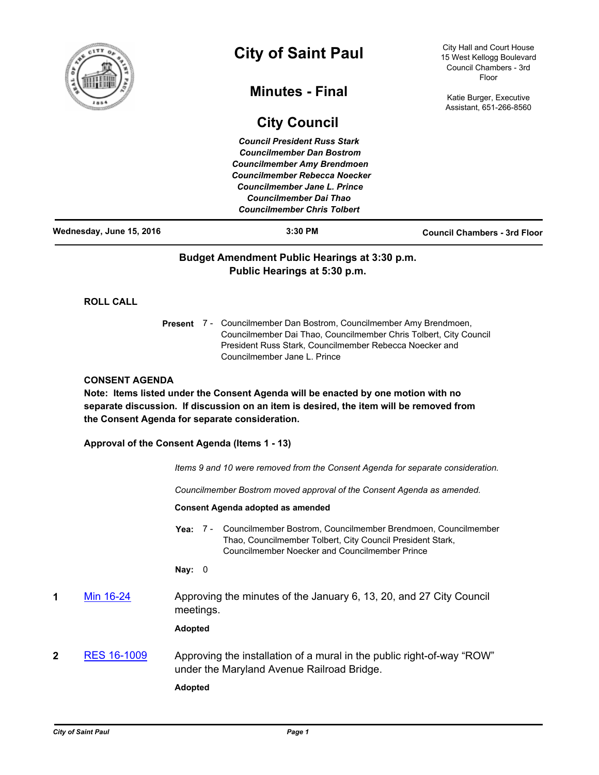

# **City of Saint Paul**

# **Minutes - Final**

**City Council**

City Hall and Court House 15 West Kellogg Boulevard Council Chambers - 3rd Floor

Katie Burger, Executive Assistant, 651-266-8560

|                          |                                                | <b>Council President Russ Stark</b><br><b>Councilmember Dan Bostrom</b><br><b>Councilmember Amy Brendmoen</b><br><b>Councilmember Rebecca Noecker</b><br><b>Councilmember Jane L. Prince</b><br><b>Councilmember Dai Thao</b><br><b>Councilmember Chris Tolbert</b> |                                                                                 |
|--------------------------|------------------------------------------------|---------------------------------------------------------------------------------------------------------------------------------------------------------------------------------------------------------------------------------------------------------------------|---------------------------------------------------------------------------------|
| Wednesday, June 15, 2016 |                                                | 3:30 PM                                                                                                                                                                                                                                                             | <b>Council Chambers - 3rd Floor</b>                                             |
|                          |                                                | Budget Amendment Public Hearings at 3:30 p.m.<br>Public Hearings at 5:30 p.m.                                                                                                                                                                                       |                                                                                 |
| <b>ROLL CALL</b>         |                                                |                                                                                                                                                                                                                                                                     |                                                                                 |
|                          |                                                | Present 7 - Councilmember Dan Bostrom, Councilmember Amy Brendmoen,<br>Councilmember Dai Thao, Councilmember Chris Tolbert, City Council<br>President Russ Stark, Councilmember Rebecca Noecker and<br>Councilmember Jane L. Prince                                 |                                                                                 |
| <b>CONSENT AGENDA</b>    | the Consent Agenda for separate consideration. | Note: Items listed under the Consent Agenda will be enacted by one motion with no<br>separate discussion. If discussion on an item is desired, the item will be removed from                                                                                        |                                                                                 |
|                          | Approval of the Consent Agenda (Items 1 - 13)  |                                                                                                                                                                                                                                                                     |                                                                                 |
|                          |                                                |                                                                                                                                                                                                                                                                     | Items 9 and 10 were removed from the Consent Agenda for separate consideration. |
|                          |                                                | Councilmember Bostrom moved approval of the Consent Agenda as amended.                                                                                                                                                                                              |                                                                                 |
|                          |                                                | Consent Agenda adopted as amended                                                                                                                                                                                                                                   |                                                                                 |
|                          | Yea: 7 -                                       | Thao, Councilmember Tolbert, City Council President Stark,<br><b>Councilmember Noecker and Councilmember Prince</b>                                                                                                                                                 | Councilmember Bostrom, Councilmember Brendmoen, Councilmember                   |
|                          | Nay:<br>0                                      |                                                                                                                                                                                                                                                                     |                                                                                 |
| Min 16-24<br>1           | meetings.                                      | Approving the minutes of the January 6, 13, 20, and 27 City Council                                                                                                                                                                                                 |                                                                                 |
|                          | <b>Adopted</b>                                 |                                                                                                                                                                                                                                                                     |                                                                                 |
| RES 16-1009<br>2         |                                                | under the Maryland Avenue Railroad Bridge.                                                                                                                                                                                                                          | Approving the installation of a mural in the public right-of-way "ROW"          |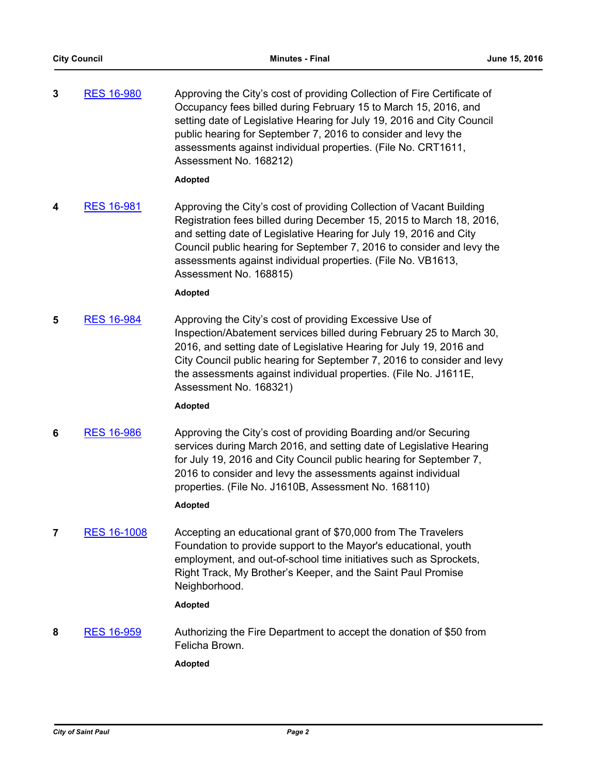| 3 | <b>RES 16-980</b> | Approving the City's cost of providing Collection of Fire Certificate of |
|---|-------------------|--------------------------------------------------------------------------|
|   |                   | Occupancy fees billed during February 15 to March 15, 2016, and          |
|   |                   | setting date of Legislative Hearing for July 19, 2016 and City Council   |
|   |                   | public hearing for September 7, 2016 to consider and levy the            |
|   |                   | assessments against individual properties. (File No. CRT1611,            |
|   |                   | Assessment No. 168212)                                                   |

#### **Adopted**

**4** [RES 16-981](http://stpaul.legistar.com/gateway.aspx?m=l&id=/matter.aspx?key=21816) Approving the City's cost of providing Collection of Vacant Building Registration fees billed during December 15, 2015 to March 18, 2016, and setting date of Legislative Hearing for July 19, 2016 and City Council public hearing for September 7, 2016 to consider and levy the assessments against individual properties. (File No. VB1613, Assessment No. 168815)

## **Adopted**

**5** [RES 16-984](http://stpaul.legistar.com/gateway.aspx?m=l&id=/matter.aspx?key=21819) Approving the City's cost of providing Excessive Use of Inspection/Abatement services billed during February 25 to March 30, 2016, and setting date of Legislative Hearing for July 19, 2016 and City Council public hearing for September 7, 2016 to consider and levy the assessments against individual properties. (File No. J1611E, Assessment No. 168321)

## **Adopted**

**6** [RES 16-986](http://stpaul.legistar.com/gateway.aspx?m=l&id=/matter.aspx?key=21821) Approving the City's cost of providing Boarding and/or Securing services during March 2016, and setting date of Legislative Hearing for July 19, 2016 and City Council public hearing for September 7, 2016 to consider and levy the assessments against individual properties. (File No. J1610B, Assessment No. 168110)

## **Adopted**

**7** [RES 16-1008](http://stpaul.legistar.com/gateway.aspx?m=l&id=/matter.aspx?key=21850) Accepting an educational grant of \$70,000 from The Travelers Foundation to provide support to the Mayor's educational, youth employment, and out-of-school time initiatives such as Sprockets, Right Track, My Brother's Keeper, and the Saint Paul Promise Neighborhood.

## **Adopted**

**8** [RES 16-959](http://stpaul.legistar.com/gateway.aspx?m=l&id=/matter.aspx?key=21787) Authorizing the Fire Department to accept the donation of \$50 from Felicha Brown.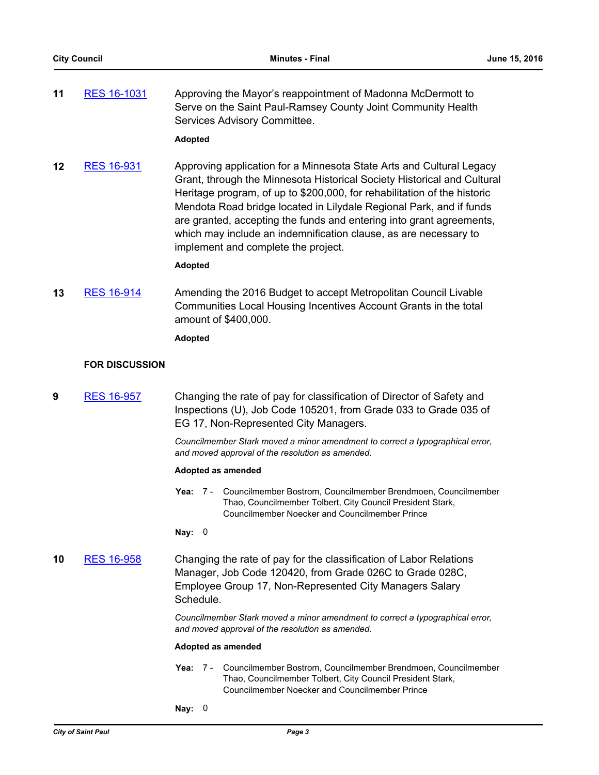**11** [RES 16-1031](http://stpaul.legistar.com/gateway.aspx?m=l&id=/matter.aspx?key=21880) Approving the Mayor's reappointment of Madonna McDermott to Serve on the Saint Paul-Ramsey County Joint Community Health Services Advisory Committee.

#### **Adopted**

**12** [RES 16-931](http://stpaul.legistar.com/gateway.aspx?m=l&id=/matter.aspx?key=21747) Approving application for a Minnesota State Arts and Cultural Legacy Grant, through the Minnesota Historical Society Historical and Cultural Heritage program, of up to \$200,000, for rehabilitation of the historic Mendota Road bridge located in Lilydale Regional Park, and if funds are granted, accepting the funds and entering into grant agreements, which may include an indemnification clause, as are necessary to implement and complete the project.

#### **Adopted**

**13** [RES 16-914](http://stpaul.legistar.com/gateway.aspx?m=l&id=/matter.aspx?key=21729) Amending the 2016 Budget to accept Metropolitan Council Livable Communities Local Housing Incentives Account Grants in the total amount of \$400,000.

**Adopted**

#### **FOR DISCUSSION**

**9** [RES 16-957](http://stpaul.legistar.com/gateway.aspx?m=l&id=/matter.aspx?key=21780) Changing the rate of pay for classification of Director of Safety and Inspections (U), Job Code 105201, from Grade 033 to Grade 035 of EG 17, Non-Represented City Managers.

> *Councilmember Stark moved a minor amendment to correct a typographical error, and moved approval of the resolution as amended.*

#### **Adopted as amended**

Yea: 7 - Councilmember Bostrom, Councilmember Brendmoen, Councilmember Thao, Councilmember Tolbert, City Council President Stark, Councilmember Noecker and Councilmember Prince

**Nay:** 0

**10** [RES 16-958](http://stpaul.legistar.com/gateway.aspx?m=l&id=/matter.aspx?key=21781) Changing the rate of pay for the classification of Labor Relations Manager, Job Code 120420, from Grade 026C to Grade 028C, Employee Group 17, Non-Represented City Managers Salary Schedule.

> *Councilmember Stark moved a minor amendment to correct a typographical error, and moved approval of the resolution as amended.*

#### **Adopted as amended**

- Yea: 7 Councilmember Bostrom, Councilmember Brendmoen, Councilmember Thao, Councilmember Tolbert, City Council President Stark, Councilmember Noecker and Councilmember Prince
- **Nay:** 0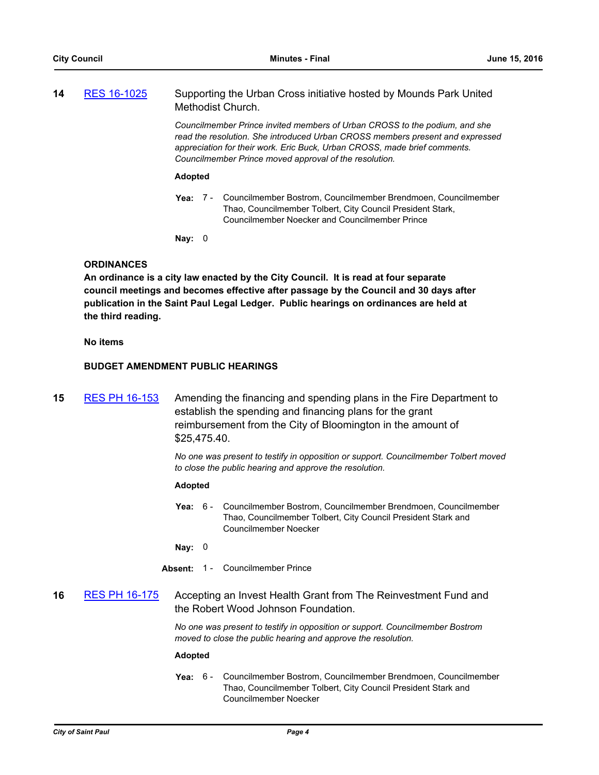| 14 | RES 16-1025 | Supporting the Urban Cross initiative hosted by Mounds Park United |
|----|-------------|--------------------------------------------------------------------|
|    |             | Methodist Church.                                                  |

*Councilmember Prince invited members of Urban CROSS to the podium, and she read the resolution. She introduced Urban CROSS members present and expressed appreciation for their work. Eric Buck, Urban CROSS, made brief comments. Councilmember Prince moved approval of the resolution.*

#### **Adopted**

**Yea:** Councilmember Bostrom, Councilmember Brendmoen, Councilmember Thao, Councilmember Tolbert, City Council President Stark, Councilmember Noecker and Councilmember Prince Yea: 7 -

**Nay:** 0

#### **ORDINANCES**

**An ordinance is a city law enacted by the City Council. It is read at four separate council meetings and becomes effective after passage by the Council and 30 days after publication in the Saint Paul Legal Ledger. Public hearings on ordinances are held at the third reading.**

#### **No items**

#### **BUDGET AMENDMENT PUBLIC HEARINGS**

**15** [RES PH 16-153](http://stpaul.legistar.com/gateway.aspx?m=l&id=/matter.aspx?key=21660) Amending the financing and spending plans in the Fire Department to establish the spending and financing plans for the grant reimbursement from the City of Bloomington in the amount of \$25,475.40.

> *No one was present to testify in opposition or support. Councilmember Tolbert moved to close the public hearing and approve the resolution.*

#### **Adopted**

**Yea:** Councilmember Bostrom, Councilmember Brendmoen, Councilmember Thao, Councilmember Tolbert, City Council President Stark and Councilmember Noecker Yea:  $6 -$ 

**Nay:** 0

- **Absent:** 1 Councilmember Prince
- **16** [RES PH 16-175](http://stpaul.legistar.com/gateway.aspx?m=l&id=/matter.aspx?key=21758) Accepting an Invest Health Grant from The Reinvestment Fund and the Robert Wood Johnson Foundation.

*No one was present to testify in opposition or support. Councilmember Bostrom moved to close the public hearing and approve the resolution.*

#### **Adopted**

**Yea:** Councilmember Bostrom, Councilmember Brendmoen, Councilmember Thao, Councilmember Tolbert, City Council President Stark and Councilmember Noecker Yea: 6 -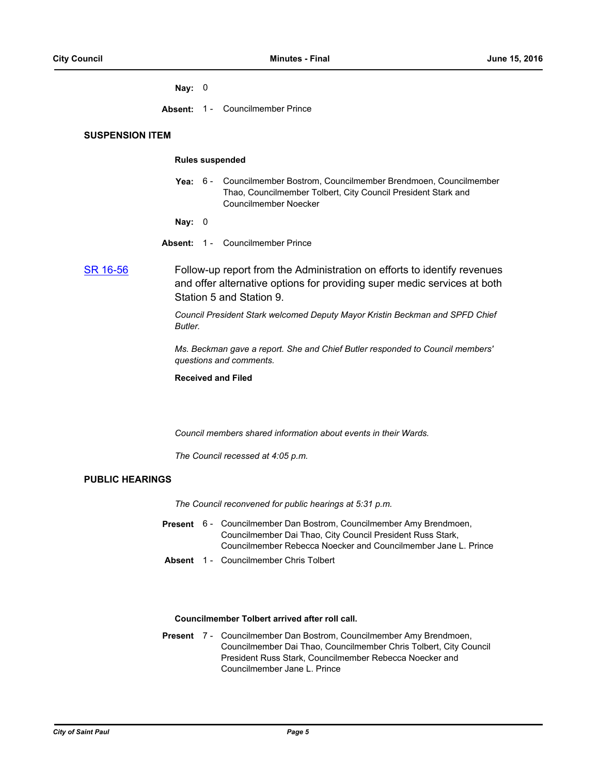#### **Nay:** 0

**Absent:** 1 - Councilmember Prince

## **SUSPENSION ITEM**

#### **Rules suspended**

- Yea: 6 Councilmember Bostrom, Councilmember Brendmoen, Councilmember Thao, Councilmember Tolbert, City Council President Stark and Councilmember Noecker
- **Nay:** 0
- **Absent:** 1 Councilmember Prince

[SR 16-56](http://stpaul.legistar.com/gateway.aspx?m=l&id=/matter.aspx?key=21912) Follow-up report from the Administration on efforts to identify revenues and offer alternative options for providing super medic services at both Station 5 and Station 9.

> *Council President Stark welcomed Deputy Mayor Kristin Beckman and SPFD Chief Butler.*

*Ms. Beckman gave a report. She and Chief Butler responded to Council members' questions and comments.*

**Received and Filed**

*Council members shared information about events in their Wards.*

*The Council recessed at 4:05 p.m.*

## **PUBLIC HEARINGS**

*The Council reconvened for public hearings at 5:31 p.m.*

- Present 6 Councilmember Dan Bostrom, Councilmember Amy Brendmoen, Councilmember Dai Thao, City Council President Russ Stark, Councilmember Rebecca Noecker and Councilmember Jane L. Prince
- **Absent** 1 Councilmember Chris Tolbert

### **Councilmember Tolbert arrived after roll call.**

Present 7 - Councilmember Dan Bostrom, Councilmember Amy Brendmoen, Councilmember Dai Thao, Councilmember Chris Tolbert, City Council President Russ Stark, Councilmember Rebecca Noecker and Councilmember Jane L. Prince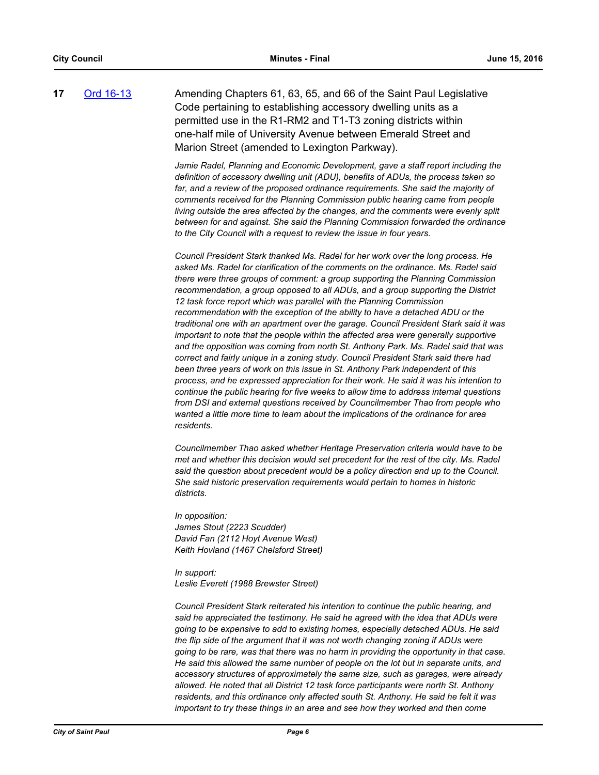**17** [Ord 16-13](http://stpaul.legistar.com/gateway.aspx?m=l&id=/matter.aspx?key=21603) Amending Chapters 61, 63, 65, and 66 of the Saint Paul Legislative Code pertaining to establishing accessory dwelling units as a permitted use in the R1-RM2 and T1-T3 zoning districts within one-half mile of University Avenue between Emerald Street and Marion Street (amended to Lexington Parkway).

> *Jamie Radel, Planning and Economic Development, gave a staff report including the definition of accessory dwelling unit (ADU), benefits of ADUs, the process taken so*  far, and a review of the proposed ordinance requirements. She said the majority of *comments received for the Planning Commission public hearing came from people living outside the area affected by the changes, and the comments were evenly split between for and against. She said the Planning Commission forwarded the ordinance to the City Council with a request to review the issue in four years.*

> *Council President Stark thanked Ms. Radel for her work over the long process. He asked Ms. Radel for clarification of the comments on the ordinance. Ms. Radel said there were three groups of comment: a group supporting the Planning Commission recommendation, a group opposed to all ADUs, and a group supporting the District 12 task force report which was parallel with the Planning Commission recommendation with the exception of the ability to have a detached ADU or the traditional one with an apartment over the garage. Council President Stark said it was important to note that the people within the affected area were generally supportive and the opposition was coming from north St. Anthony Park. Ms. Radel said that was correct and fairly unique in a zoning study. Council President Stark said there had been three years of work on this issue in St. Anthony Park independent of this process, and he expressed appreciation for their work. He said it was his intention to continue the public hearing for five weeks to allow time to address internal questions from DSI and external questions received by Councilmember Thao from people who*  wanted a little more time to learn about the implications of the ordinance for area *residents.*

*Councilmember Thao asked whether Heritage Preservation criteria would have to be met and whether this decision would set precedent for the rest of the city. Ms. Radel said the question about precedent would be a policy direction and up to the Council. She said historic preservation requirements would pertain to homes in historic districts.*

*In opposition: James Stout (2223 Scudder) David Fan (2112 Hoyt Avenue West) Keith Hovland (1467 Chelsford Street)*

*In support: Leslie Everett (1988 Brewster Street)*

*Council President Stark reiterated his intention to continue the public hearing, and said he appreciated the testimony. He said he agreed with the idea that ADUs were going to be expensive to add to existing homes, especially detached ADUs. He said the flip side of the argument that it was not worth changing zoning if ADUs were going to be rare, was that there was no harm in providing the opportunity in that case. He said this allowed the same number of people on the lot but in separate units, and accessory structures of approximately the same size, such as garages, were already allowed. He noted that all District 12 task force participants were north St. Anthony residents, and this ordinance only affected south St. Anthony. He said he felt it was important to try these things in an area and see how they worked and then come*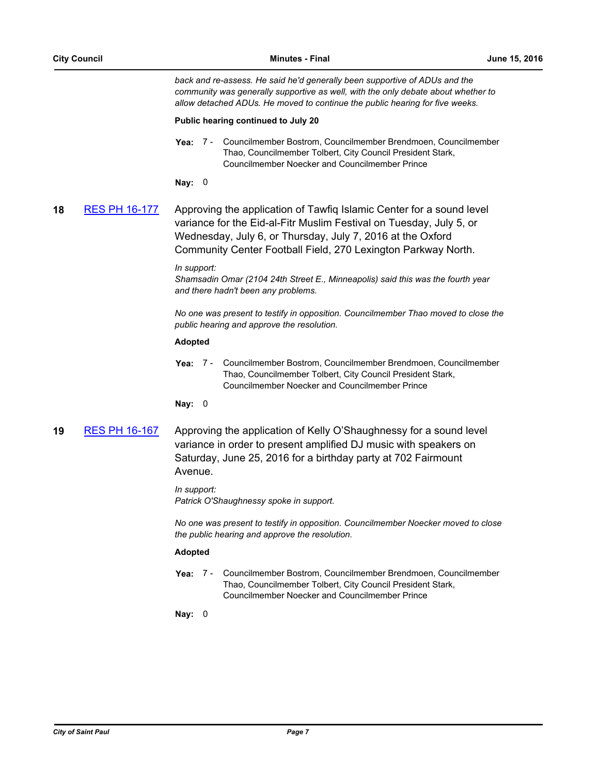*back and re-assess. He said he'd generally been supportive of ADUs and the community was generally supportive as well, with the only debate about whether to allow detached ADUs. He moved to continue the public hearing for five weeks.*

#### **Public hearing continued to July 20**

Yea: 7 - Councilmember Bostrom, Councilmember Brendmoen, Councilmember Thao, Councilmember Tolbert, City Council President Stark, Councilmember Noecker and Councilmember Prince

**Nay:** 0

**18** [RES PH 16-177](http://stpaul.legistar.com/gateway.aspx?m=l&id=/matter.aspx?key=21770) Approving the application of Tawfiq Islamic Center for a sound level variance for the Eid-al-Fitr Muslim Festival on Tuesday, July 5, or Wednesday, July 6, or Thursday, July 7, 2016 at the Oxford Community Center Football Field, 270 Lexington Parkway North.

#### *In support:*

*Shamsadin Omar (2104 24th Street E., Minneapolis) said this was the fourth year and there hadn't been any problems.*

*No one was present to testify in opposition. Councilmember Thao moved to close the public hearing and approve the resolution.*

#### **Adopted**

**Yea:** Councilmember Bostrom, Councilmember Brendmoen, Councilmember Thao, Councilmember Tolbert, City Council President Stark, Councilmember Noecker and Councilmember Prince Yea: 7 -

#### **Nay:** 0

**19** [RES PH 16-167](http://stpaul.legistar.com/gateway.aspx?m=l&id=/matter.aspx?key=21728) Approving the application of Kelly O'Shaughnessy for a sound level variance in order to present amplified DJ music with speakers on Saturday, June 25, 2016 for a birthday party at 702 Fairmount Avenue.

> *In support: Patrick O'Shaughnessy spoke in support.*

*No one was present to testify in opposition. Councilmember Noecker moved to close the public hearing and approve the resolution.*

#### **Adopted**

**Yea:** Councilmember Bostrom, Councilmember Brendmoen, Councilmember Thao, Councilmember Tolbert, City Council President Stark, Councilmember Noecker and Councilmember Prince Yea: 7 -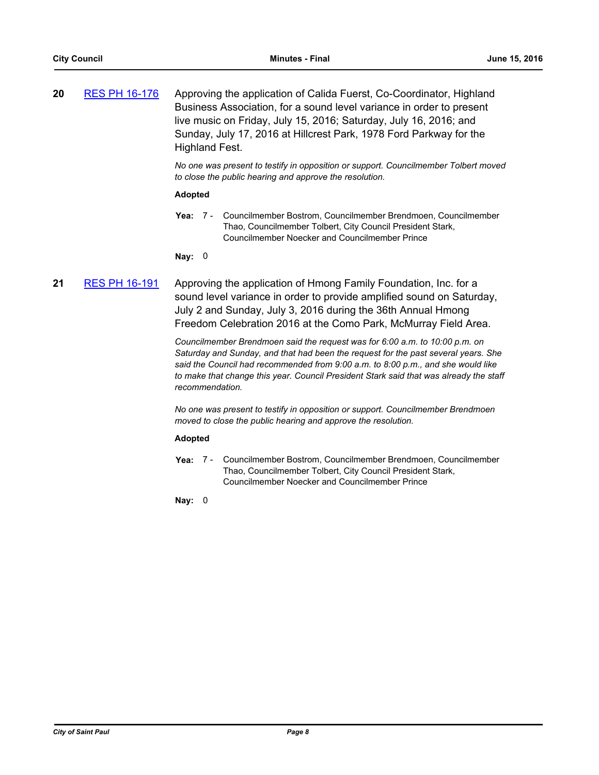| 20 | <b>RES PH 16-176</b> | Approving the application of Calida Fuerst, Co-Coordinator, Highland |
|----|----------------------|----------------------------------------------------------------------|
|    |                      | Business Association, for a sound level variance in order to present |
|    |                      | live music on Friday, July 15, 2016; Saturday, July 16, 2016; and    |
|    |                      | Sunday, July 17, 2016 at Hillcrest Park, 1978 Ford Parkway for the   |
|    |                      | Highland Fest.                                                       |

*No one was present to testify in opposition or support. Councilmember Tolbert moved to close the public hearing and approve the resolution.*

#### **Adopted**

Yea: 7 - Councilmember Bostrom, Councilmember Brendmoen, Councilmember Thao, Councilmember Tolbert, City Council President Stark, Councilmember Noecker and Councilmember Prince

**Nay:** 0

## **21** [RES PH 16-191](http://stpaul.legistar.com/gateway.aspx?m=l&id=/matter.aspx?key=21844) Approving the application of Hmong Family Foundation, Inc. for a sound level variance in order to provide amplified sound on Saturday, July 2 and Sunday, July 3, 2016 during the 36th Annual Hmong Freedom Celebration 2016 at the Como Park, McMurray Field Area.

*Councilmember Brendmoen said the request was for 6:00 a.m. to 10:00 p.m. on Saturday and Sunday, and that had been the request for the past several years. She said the Council had recommended from 9:00 a.m. to 8:00 p.m., and she would like to make that change this year. Council President Stark said that was already the staff recommendation.*

*No one was present to testify in opposition or support. Councilmember Brendmoen moved to close the public hearing and approve the resolution.*

#### **Adopted**

Yea: 7 - Councilmember Bostrom, Councilmember Brendmoen, Councilmember Thao, Councilmember Tolbert, City Council President Stark, Councilmember Noecker and Councilmember Prince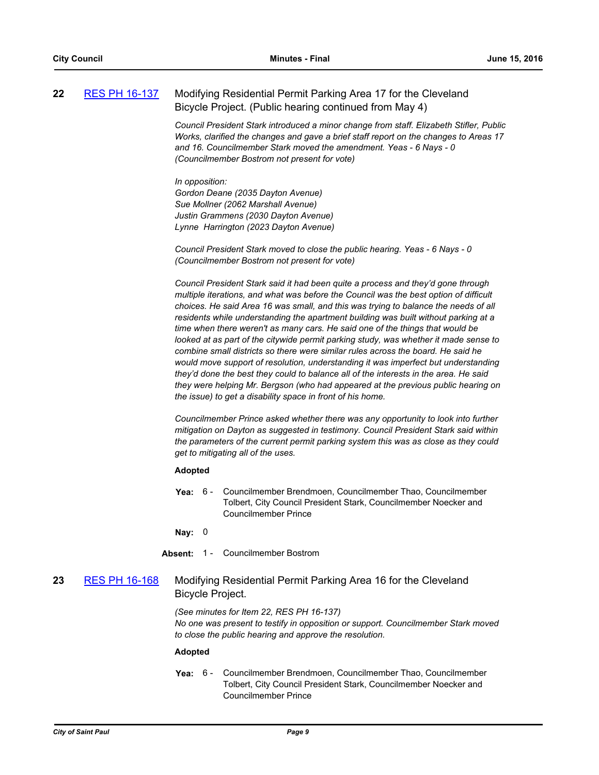| 22 | <b>RES PH 16-137</b> | Modifying Residential Permit Parking Area 17 for the Cleveland |  |
|----|----------------------|----------------------------------------------------------------|--|
|    |                      | Bicycle Project. (Public hearing continued from May 4)         |  |

*Council President Stark introduced a minor change from staff. Elizabeth Stifler, Public Works, clarified the changes and gave a brief staff report on the changes to Areas 17 and 16. Councilmember Stark moved the amendment. Yeas - 6 Nays - 0 (Councilmember Bostrom not present for vote)*

*In opposition: Gordon Deane (2035 Dayton Avenue) Sue Mollner (2062 Marshall Avenue) Justin Grammens (2030 Dayton Avenue) Lynne Harrington (2023 Dayton Avenue)*

*Council President Stark moved to close the public hearing. Yeas - 6 Nays - 0 (Councilmember Bostrom not present for vote)*

*Council President Stark said it had been quite a process and they'd gone through multiple iterations, and what was before the Council was the best option of difficult choices. He said Area 16 was small, and this was trying to balance the needs of all residents while understanding the apartment building was built without parking at a time when there weren't as many cars. He said one of the things that would be looked at as part of the citywide permit parking study, was whether it made sense to combine small districts so there were similar rules across the board. He said he would move support of resolution, understanding it was imperfect but understanding they'd done the best they could to balance all of the interests in the area. He said they were helping Mr. Bergson (who had appeared at the previous public hearing on the issue) to get a disability space in front of his home.*

*Councilmember Prince asked whether there was any opportunity to look into further mitigation on Dayton as suggested in testimony. Council President Stark said within the parameters of the current permit parking system this was as close as they could get to mitigating all of the uses.*

#### **Adopted**

**Yea:** Councilmember Brendmoen, Councilmember Thao, Councilmember Tolbert, City Council President Stark, Councilmember Noecker and Councilmember Prince Yea:  $6 -$ 

**Nay:** 0

Absent: 1 - Councilmember Bostrom

**23** [RES PH 16-168](http://stpaul.legistar.com/gateway.aspx?m=l&id=/matter.aspx?key=21738) Modifying Residential Permit Parking Area 16 for the Cleveland Bicycle Project.

> *(See minutes for Item 22, RES PH 16-137) No one was present to testify in opposition or support. Councilmember Stark moved to close the public hearing and approve the resolution.*

#### **Adopted**

**Yea:** Councilmember Brendmoen, Councilmember Thao, Councilmember Tolbert, City Council President Stark, Councilmember Noecker and Councilmember Prince Yea:  $6 -$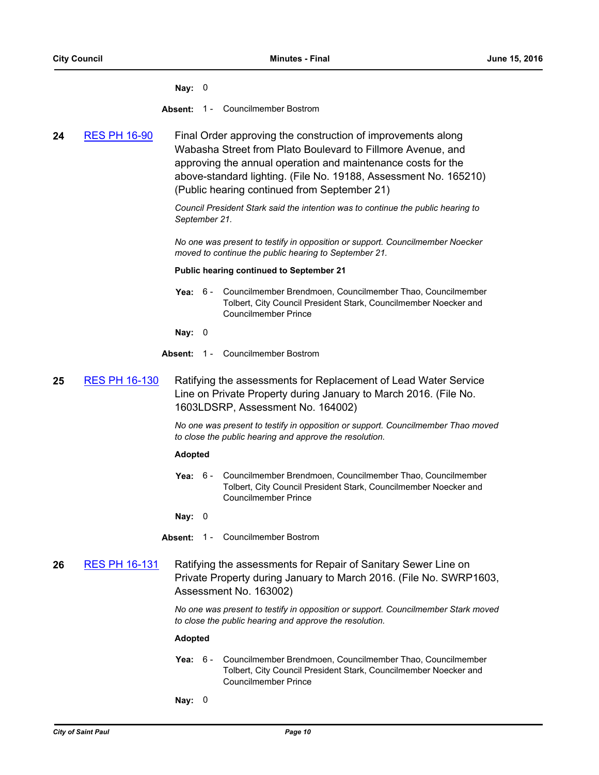**Nay:** 0

- **Absent:** 1 Councilmember Bostrom
- **24** [RES PH 16-90](http://stpaul.legistar.com/gateway.aspx?m=l&id=/matter.aspx?key=21168) Final Order approving the construction of improvements along Wabasha Street from Plato Boulevard to Fillmore Avenue, and approving the annual operation and maintenance costs for the above-standard lighting. (File No. 19188, Assessment No. 165210) (Public hearing continued from September 21)

*Council President Stark said the intention was to continue the public hearing to September 21.*

*No one was present to testify in opposition or support. Councilmember Noecker moved to continue the public hearing to September 21.*

#### **Public hearing continued to September 21**

**Yea:** Councilmember Brendmoen, Councilmember Thao, Councilmember Tolbert, City Council President Stark, Councilmember Noecker and Councilmember Prince  $Y<sub>BA</sub>: 6 -$ 

**Nay:** 0

- **Absent:** 1 Councilmember Bostrom
- 25 [RES PH 16-130](http://stpaul.legistar.com/gateway.aspx?m=l&id=/matter.aspx?key=21484) Ratifying the assessments for Replacement of Lead Water Service Line on Private Property during January to March 2016. (File No. 1603LDSRP, Assessment No. 164002)

*No one was present to testify in opposition or support. Councilmember Thao moved to close the public hearing and approve the resolution.*

#### **Adopted**

**Yea:** Councilmember Brendmoen, Councilmember Thao, Councilmember Tolbert, City Council President Stark, Councilmember Noecker and Councilmember Prince Yea:  $6 -$ 

**Nay:** 0

- **Absent:** 1 Councilmember Bostrom
- **26** [RES PH 16-131](http://stpaul.legistar.com/gateway.aspx?m=l&id=/matter.aspx?key=21486) Ratifying the assessments for Repair of Sanitary Sewer Line on Private Property during January to March 2016. (File No. SWRP1603, Assessment No. 163002)

*No one was present to testify in opposition or support. Councilmember Stark moved to close the public hearing and approve the resolution.*

- **Yea:** Councilmember Brendmoen, Councilmember Thao, Councilmember Tolbert, City Council President Stark, Councilmember Noecker and Councilmember Prince Yea:  $6 -$
- **Nay:** 0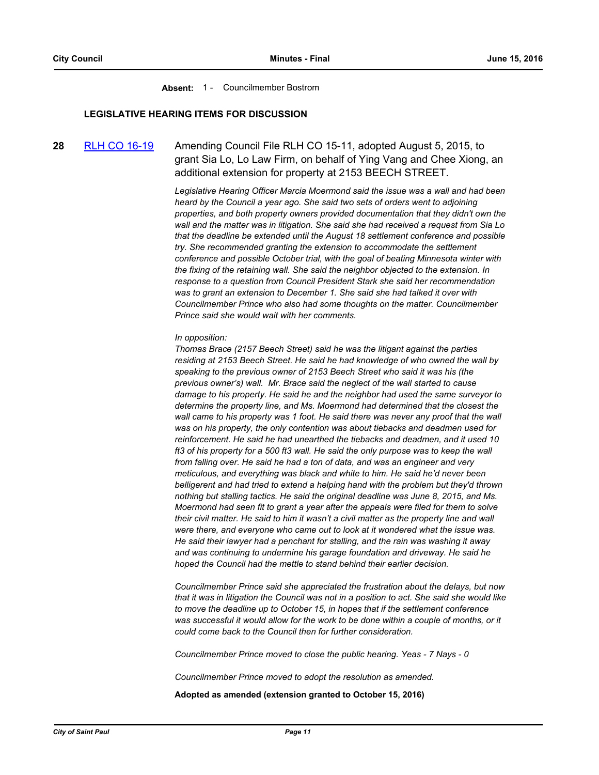**Absent:** 1 - Councilmember Bostrom

#### **LEGISLATIVE HEARING ITEMS FOR DISCUSSION**

**28** [RLH CO 16-19](http://stpaul.legistar.com/gateway.aspx?m=l&id=/matter.aspx?key=21695) Amending Council File RLH CO 15-11, adopted August 5, 2015, to grant Sia Lo, Lo Law Firm, on behalf of Ying Vang and Chee Xiong, an additional extension for property at 2153 BEECH STREET.

> *Legislative Hearing Officer Marcia Moermond said the issue was a wall and had been heard by the Council a year ago. She said two sets of orders went to adjoining properties, and both property owners provided documentation that they didn't own the wall and the matter was in litigation. She said she had received a request from Sia Lo that the deadline be extended until the August 18 settlement conference and possible try. She recommended granting the extension to accommodate the settlement conference and possible October trial, with the goal of beating Minnesota winter with the fixing of the retaining wall. She said the neighbor objected to the extension. In response to a question from Council President Stark she said her recommendation was to grant an extension to December 1. She said she had talked it over with Councilmember Prince who also had some thoughts on the matter. Councilmember Prince said she would wait with her comments.*

#### *In opposition:*

*Thomas Brace (2157 Beech Street) said he was the litigant against the parties residing at 2153 Beech Street. He said he had knowledge of who owned the wall by speaking to the previous owner of 2153 Beech Street who said it was his (the previous owner's) wall. Mr. Brace said the neglect of the wall started to cause damage to his property. He said he and the neighbor had used the same surveyor to determine the property line, and Ms. Moermond had determined that the closest the wall came to his property was 1 foot. He said there was never any proof that the wall was on his property, the only contention was about tiebacks and deadmen used for reinforcement. He said he had unearthed the tiebacks and deadmen, and it used 10 ft3 of his property for a 500 ft3 wall. He said the only purpose was to keep the wall from falling over. He said he had a ton of data, and was an engineer and very meticulous, and everything was black and white to him. He said he'd never been belligerent and had tried to extend a helping hand with the problem but they'd thrown nothing but stalling tactics. He said the original deadline was June 8, 2015, and Ms. Moermond had seen fit to grant a year after the appeals were filed for them to solve their civil matter. He said to him it wasn't a civil matter as the property line and wall were there, and everyone who came out to look at it wondered what the issue was. He said their lawyer had a penchant for stalling, and the rain was washing it away and was continuing to undermine his garage foundation and driveway. He said he hoped the Council had the mettle to stand behind their earlier decision.*

*Councilmember Prince said she appreciated the frustration about the delays, but now that it was in litigation the Council was not in a position to act. She said she would like to move the deadline up to October 15, in hopes that if the settlement conference was successful it would allow for the work to be done within a couple of months, or it could come back to the Council then for further consideration.*

*Councilmember Prince moved to close the public hearing. Yeas - 7 Nays - 0*

*Councilmember Prince moved to adopt the resolution as amended.*

**Adopted as amended (extension granted to October 15, 2016)**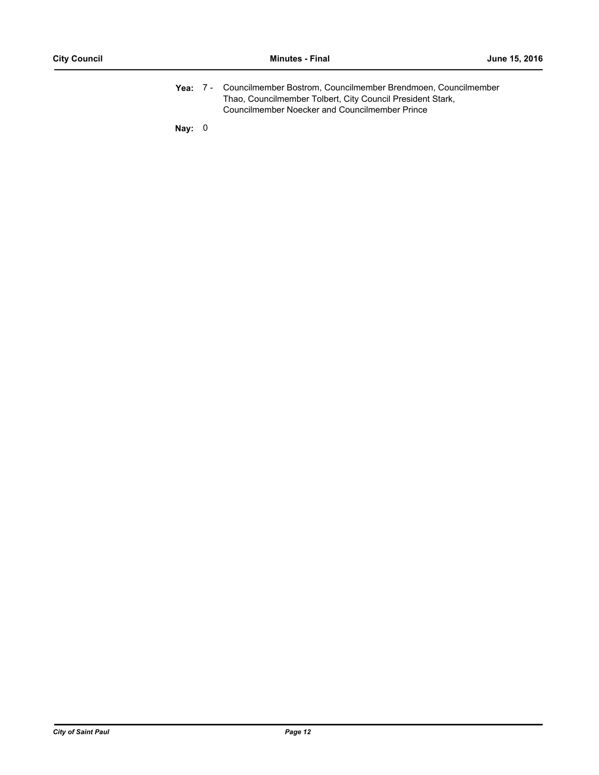Yea: 7 - Councilmember Bostrom, Councilmember Brendmoen, Councilmember Thao, Councilmember Tolbert, City Council President Stark, Councilmember Noecker and Councilmember Prince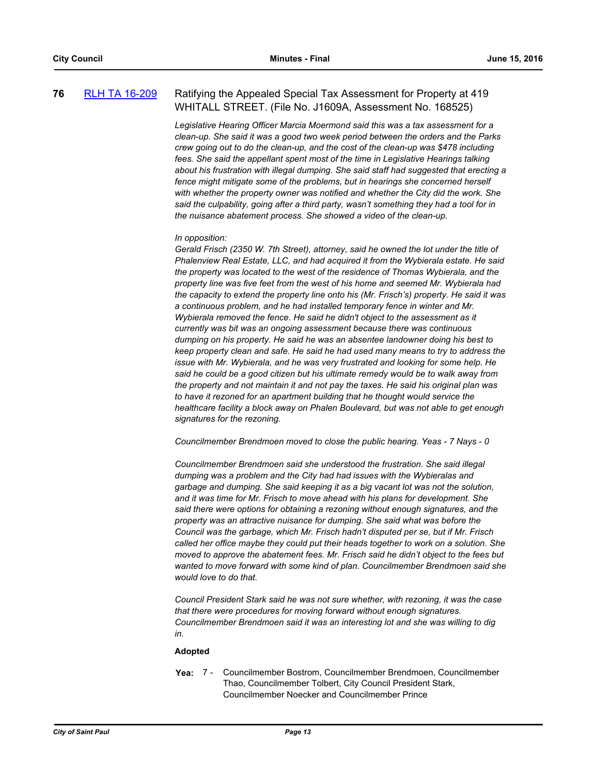## **76** [RLH TA 16-209](http://stpaul.legistar.com/gateway.aspx?m=l&id=/matter.aspx?key=21528) Ratifying the Appealed Special Tax Assessment for Property at 419 WHITALL STREET. (File No. J1609A, Assessment No. 168525)

*Legislative Hearing Officer Marcia Moermond said this was a tax assessment for a clean-up. She said it was a good two week period between the orders and the Parks crew going out to do the clean-up, and the cost of the clean-up was \$478 including fees. She said the appellant spent most of the time in Legislative Hearings talking about his frustration with illegal dumping. She said staff had suggested that erecting a fence might mitigate some of the problems, but in hearings she concerned herself with whether the property owner was notified and whether the City did the work. She said the culpability, going after a third party, wasn't something they had a tool for in the nuisance abatement process. She showed a video of the clean-up.* 

#### *In opposition:*

*Gerald Frisch (2350 W. 7th Street), attorney, said he owned the lot under the title of Phalenview Real Estate, LLC, and had acquired it from the Wybierala estate. He said the property was located to the west of the residence of Thomas Wybierala, and the property line was five feet from the west of his home and seemed Mr. Wybierala had the capacity to extend the property line onto his (Mr. Frisch's) property. He said it was a continuous problem, and he had installed temporary fence in winter and Mr. Wybierala removed the fence. He said he didn't object to the assessment as it currently was bit was an ongoing assessment because there was continuous dumping on his property. He said he was an absentee landowner doing his best to keep property clean and safe. He said he had used many means to try to address the issue with Mr. Wybierala, and he was very frustrated and looking for some help. He said he could be a good citizen but his ultimate remedy would be to walk away from the property and not maintain it and not pay the taxes. He said his original plan was to have it rezoned for an apartment building that he thought would service the healthcare facility a block away on Phalen Boulevard, but was not able to get enough signatures for the rezoning.*

*Councilmember Brendmoen moved to close the public hearing. Yeas - 7 Nays - 0* 

*Councilmember Brendmoen said she understood the frustration. She said illegal dumping was a problem and the City had had issues with the Wybieralas and garbage and dumping. She said keeping it as a big vacant lot was not the solution, and it was time for Mr. Frisch to move ahead with his plans for development. She said there were options for obtaining a rezoning without enough signatures, and the property was an attractive nuisance for dumping. She said what was before the Council was the garbage, which Mr. Frisch hadn't disputed per se, but if Mr. Frisch called her office maybe they could put their heads together to work on a solution. She moved to approve the abatement fees. Mr. Frisch said he didn't object to the fees but wanted to move forward with some kind of plan. Councilmember Brendmoen said she would love to do that.*

*Council President Stark said he was not sure whether, with rezoning, it was the case that there were procedures for moving forward without enough signatures. Councilmember Brendmoen said it was an interesting lot and she was willing to dig in.*

#### **Adopted**

**Yea:** Councilmember Bostrom, Councilmember Brendmoen, Councilmember Thao, Councilmember Tolbert, City Council President Stark, Councilmember Noecker and Councilmember Prince Yea: 7 -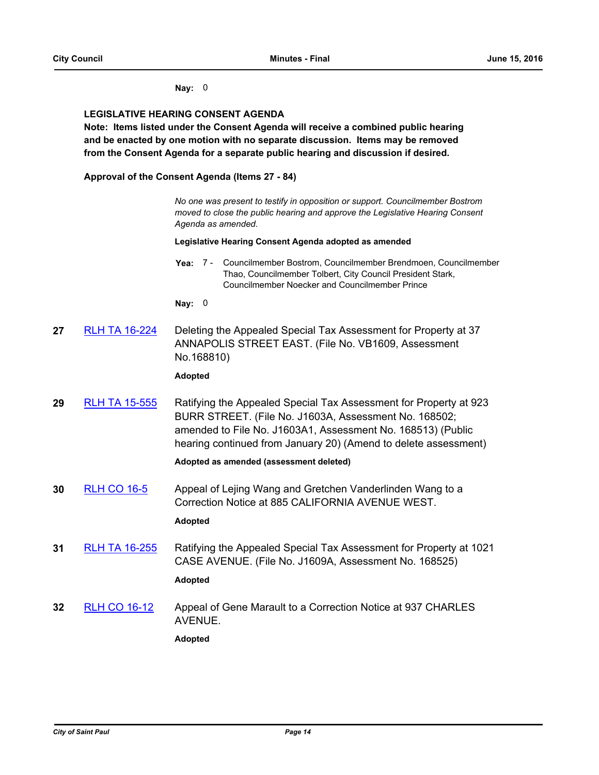#### **Nay:** 0

#### **LEGISLATIVE HEARING CONSENT AGENDA**

**Note: Items listed under the Consent Agenda will receive a combined public hearing and be enacted by one motion with no separate discussion. Items may be removed from the Consent Agenda for a separate public hearing and discussion if desired.**

**Approval of the Consent Agenda (Items 27 - 84)**

*No one was present to testify in opposition or support. Councilmember Bostrom moved to close the public hearing and approve the Legislative Hearing Consent Agenda as amended.*

#### **Legislative Hearing Consent Agenda adopted as amended**

Yea: 7 - Councilmember Bostrom, Councilmember Brendmoen, Councilmember Thao, Councilmember Tolbert, City Council President Stark, Councilmember Noecker and Councilmember Prince

**Nay:** 0

**27** [RLH TA 16-224](http://stpaul.legistar.com/gateway.aspx?m=l&id=/matter.aspx?key=21548) Deleting the Appealed Special Tax Assessment for Property at 37 ANNAPOLIS STREET EAST. (File No. VB1609, Assessment No.168810)

#### **Adopted**

**29** [RLH TA 15-555](http://stpaul.legistar.com/gateway.aspx?m=l&id=/matter.aspx?key=20210) Ratifying the Appealed Special Tax Assessment for Property at 923 BURR STREET. (File No. J1603A, Assessment No. 168502; amended to File No. J1603A1, Assessment No. 168513) (Public hearing continued from January 20) (Amend to delete assessment)

#### **Adopted as amended (assessment deleted)**

**30** [RLH CO 16-5](http://stpaul.legistar.com/gateway.aspx?m=l&id=/matter.aspx?key=20837) Appeal of Lejing Wang and Gretchen Vanderlinden Wang to a Correction Notice at 885 CALIFORNIA AVENUE WEST.

## **Adopted**

**31** [RLH TA 16-255](http://stpaul.legistar.com/gateway.aspx?m=l&id=/matter.aspx?key=21675) Ratifying the Appealed Special Tax Assessment for Property at 1021 CASE AVENUE. (File No. J1609A, Assessment No. 168525)

**Adopted**

**32** [RLH CO 16-12](http://stpaul.legistar.com/gateway.aspx?m=l&id=/matter.aspx?key=21442) Appeal of Gene Marault to a Correction Notice at 937 CHARLES AVENUE.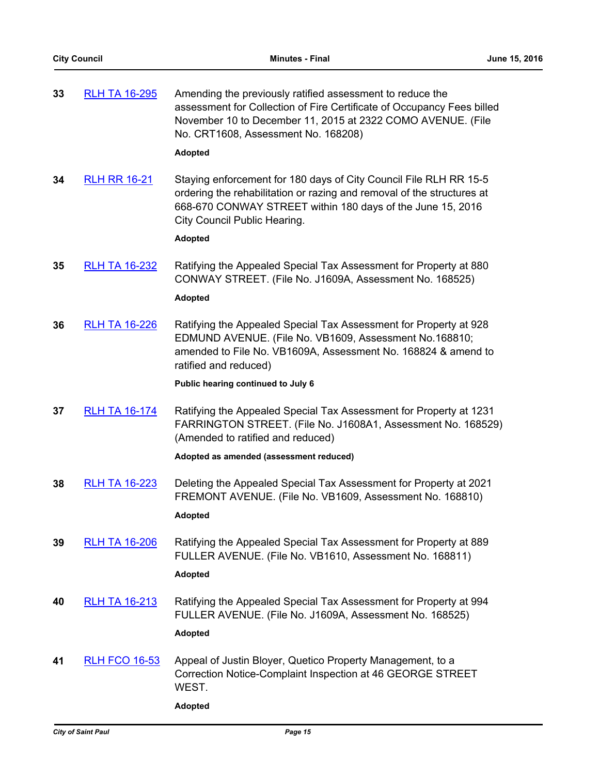| 33 | <b>RLH TA 16-295</b> | Amending the previously ratified assessment to reduce the              |
|----|----------------------|------------------------------------------------------------------------|
|    |                      | assessment for Collection of Fire Certificate of Occupancy Fees billed |
|    |                      | November 10 to December 11, 2015 at 2322 COMO AVENUE. (File            |
|    |                      | No. CRT1608, Assessment No. 168208)                                    |

#### **Adopted**

**34** [RLH RR 16-21](http://stpaul.legistar.com/gateway.aspx?m=l&id=/matter.aspx?key=21877) Staying enforcement for 180 days of City Council File RLH RR 15-5 ordering the rehabilitation or razing and removal of the structures at 668-670 CONWAY STREET within 180 days of the June 15, 2016 City Council Public Hearing.

#### **Adopted**

**35** [RLH TA 16-232](http://stpaul.legistar.com/gateway.aspx?m=l&id=/matter.aspx?key=21568) Ratifying the Appealed Special Tax Assessment for Property at 880 CONWAY STREET. (File No. J1609A, Assessment No. 168525)

## **Adopted**

**36** [RLH TA 16-226](http://stpaul.legistar.com/gateway.aspx?m=l&id=/matter.aspx?key=21550) Ratifying the Appealed Special Tax Assessment for Property at 928 EDMUND AVENUE. (File No. VB1609, Assessment No.168810; amended to File No. VB1609A, Assessment No. 168824 & amend to ratified and reduced)

**Public hearing continued to July 6**

**37** [RLH TA 16-174](http://stpaul.legistar.com/gateway.aspx?m=l&id=/matter.aspx?key=21334) Ratifying the Appealed Special Tax Assessment for Property at 1231 FARRINGTON STREET. (File No. J1608A1, Assessment No. 168529) (Amended to ratified and reduced)

#### **Adopted as amended (assessment reduced)**

- **38** [RLH TA 16-223](http://stpaul.legistar.com/gateway.aspx?m=l&id=/matter.aspx?key=21547) Deleting the Appealed Special Tax Assessment for Property at 2021 FREMONT AVENUE. (File No. VB1609, Assessment No. 168810) **Adopted**
- **39** [RLH TA 16-206](http://stpaul.legistar.com/gateway.aspx?m=l&id=/matter.aspx?key=21518) Ratifying the Appealed Special Tax Assessment for Property at 889 FULLER AVENUE. (File No. VB1610, Assessment No. 168811)

#### **Adopted**

**40** [RLH TA 16-213](http://stpaul.legistar.com/gateway.aspx?m=l&id=/matter.aspx?key=21536) Ratifying the Appealed Special Tax Assessment for Property at 994 FULLER AVENUE. (File No. J1609A, Assessment No. 168525)

#### **Adopted**

**41** [RLH FCO 16-53](http://stpaul.legistar.com/gateway.aspx?m=l&id=/matter.aspx?key=21425) Appeal of Justin Bloyer, Quetico Property Management, to a Correction Notice-Complaint Inspection at 46 GEORGE STREET WEST.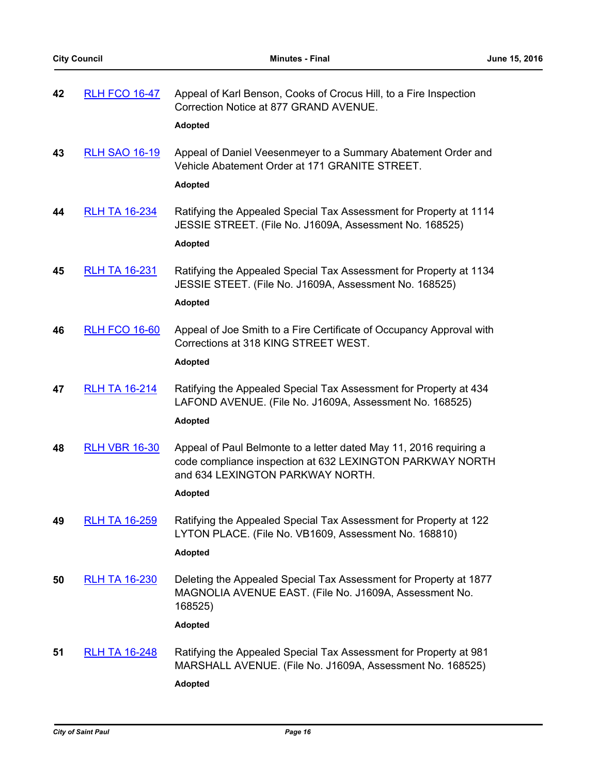| 42 | <b>RLH FCO 16-47</b> | Appeal of Karl Benson, Cooks of Crocus Hill, to a Fire Inspection<br>Correction Notice at 877 GRAND AVENUE.<br><b>Adopted</b>                                                         |
|----|----------------------|---------------------------------------------------------------------------------------------------------------------------------------------------------------------------------------|
| 43 | <b>RLH SAO 16-19</b> | Appeal of Daniel Veesenmeyer to a Summary Abatement Order and<br>Vehicle Abatement Order at 171 GRANITE STREET.<br><b>Adopted</b>                                                     |
| 44 | <b>RLH TA 16-234</b> | Ratifying the Appealed Special Tax Assessment for Property at 1114<br>JESSIE STREET. (File No. J1609A, Assessment No. 168525)<br><b>Adopted</b>                                       |
| 45 | <b>RLH TA 16-231</b> | Ratifying the Appealed Special Tax Assessment for Property at 1134<br>JESSIE STEET. (File No. J1609A, Assessment No. 168525)<br><b>Adopted</b>                                        |
| 46 | <b>RLH FCO 16-60</b> | Appeal of Joe Smith to a Fire Certificate of Occupancy Approval with<br>Corrections at 318 KING STREET WEST.<br><b>Adopted</b>                                                        |
| 47 | <b>RLH TA 16-214</b> | Ratifying the Appealed Special Tax Assessment for Property at 434<br>LAFOND AVENUE. (File No. J1609A, Assessment No. 168525)<br><b>Adopted</b>                                        |
| 48 | <b>RLH VBR 16-30</b> | Appeal of Paul Belmonte to a letter dated May 11, 2016 requiring a<br>code compliance inspection at 632 LEXINGTON PARKWAY NORTH<br>and 634 LEXINGTON PARKWAY NORTH.<br><b>Adopted</b> |
| 49 | <b>RLH TA 16-259</b> | Ratifying the Appealed Special Tax Assessment for Property at 122<br>LYTON PLACE. (File No. VB1609, Assessment No. 168810)<br><b>Adopted</b>                                          |
| 50 | <b>RLH TA 16-230</b> | Deleting the Appealed Special Tax Assessment for Property at 1877<br>MAGNOLIA AVENUE EAST. (File No. J1609A, Assessment No.<br>168525)                                                |
| 51 | <b>RLH TA 16-248</b> | <b>Adopted</b><br>Ratifying the Appealed Special Tax Assessment for Property at 981<br>MARSHALL AVENUE. (File No. J1609A, Assessment No. 168525)<br><b>Adopted</b>                    |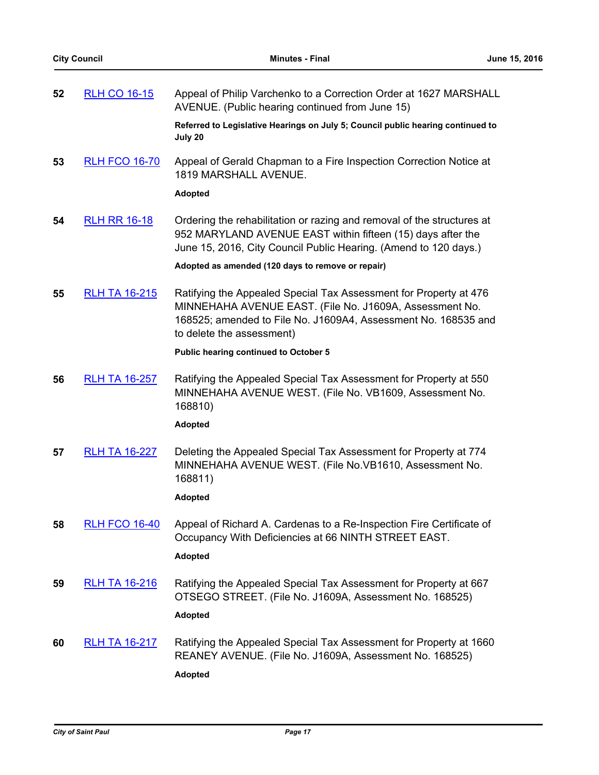| 52 | <b>RLH CO 16-15</b>  | Appeal of Philip Varchenko to a Correction Order at 1627 MARSHALL<br>AVENUE. (Public hearing continued from June 15)                                                                                                        |
|----|----------------------|-----------------------------------------------------------------------------------------------------------------------------------------------------------------------------------------------------------------------------|
|    |                      | Referred to Legislative Hearings on July 5; Council public hearing continued to<br>July 20                                                                                                                                  |
| 53 | <b>RLH FCO 16-70</b> | Appeal of Gerald Chapman to a Fire Inspection Correction Notice at<br>1819 MARSHALL AVENUE.                                                                                                                                 |
|    |                      | <b>Adopted</b>                                                                                                                                                                                                              |
| 54 | <b>RLH RR 16-18</b>  | Ordering the rehabilitation or razing and removal of the structures at<br>952 MARYLAND AVENUE EAST within fifteen (15) days after the<br>June 15, 2016, City Council Public Hearing. (Amend to 120 days.)                   |
|    |                      | Adopted as amended (120 days to remove or repair)                                                                                                                                                                           |
| 55 | <b>RLH TA 16-215</b> | Ratifying the Appealed Special Tax Assessment for Property at 476<br>MINNEHAHA AVENUE EAST. (File No. J1609A, Assessment No.<br>168525; amended to File No. J1609A4, Assessment No. 168535 and<br>to delete the assessment) |
|    |                      | <b>Public hearing continued to October 5</b>                                                                                                                                                                                |
| 56 | <b>RLH TA 16-257</b> | Ratifying the Appealed Special Tax Assessment for Property at 550<br>MINNEHAHA AVENUE WEST. (File No. VB1609, Assessment No.<br>168810)                                                                                     |
|    |                      | <b>Adopted</b>                                                                                                                                                                                                              |
| 57 | <b>RLH TA 16-227</b> | Deleting the Appealed Special Tax Assessment for Property at 774<br>MINNEHAHA AVENUE WEST. (File No. VB1610, Assessment No.<br>168811)                                                                                      |
|    |                      | <b>Adopted</b>                                                                                                                                                                                                              |
| 58 |                      | RLH FCO 16-40 Appeal of Richard A. Cardenas to a Re-Inspection Fire Certificate of<br>Occupancy With Deficiencies at 66 NINTH STREET EAST.                                                                                  |
|    |                      | <b>Adopted</b>                                                                                                                                                                                                              |
| 59 | <b>RLH TA 16-216</b> | Ratifying the Appealed Special Tax Assessment for Property at 667<br>OTSEGO STREET. (File No. J1609A, Assessment No. 168525)<br><b>Adopted</b>                                                                              |
|    |                      |                                                                                                                                                                                                                             |
| 60 | <b>RLH TA 16-217</b> | Ratifying the Appealed Special Tax Assessment for Property at 1660<br>REANEY AVENUE. (File No. J1609A, Assessment No. 168525)                                                                                               |
|    |                      | <b>Adopted</b>                                                                                                                                                                                                              |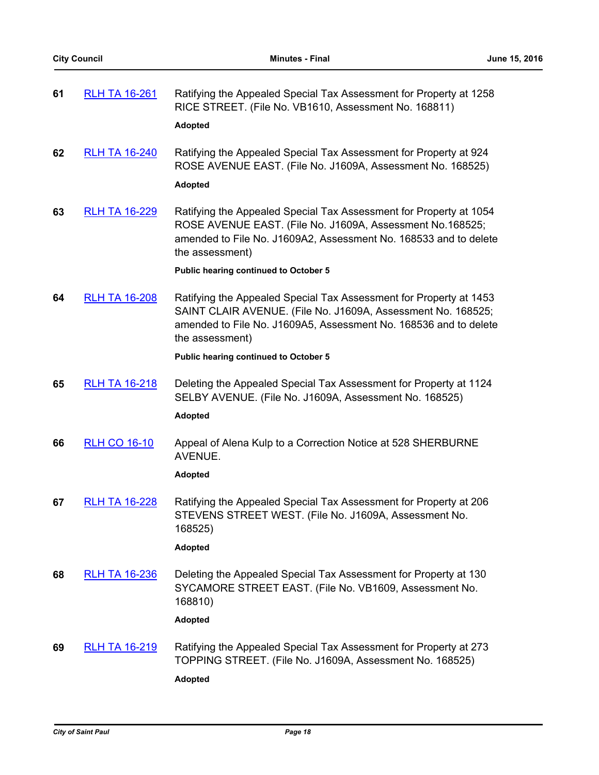| 61 | <b>RLH TA 16-261</b> | Ratifying the Appealed Special Tax Assessment for Property at 1258<br>RICE STREET. (File No. VB1610, Assessment No. 168811)<br><b>Adopted</b>                                                                             |
|----|----------------------|---------------------------------------------------------------------------------------------------------------------------------------------------------------------------------------------------------------------------|
| 62 | <b>RLH TA 16-240</b> | Ratifying the Appealed Special Tax Assessment for Property at 924<br>ROSE AVENUE EAST. (File No. J1609A, Assessment No. 168525)<br><b>Adopted</b>                                                                         |
| 63 | <b>RLH TA 16-229</b> | Ratifying the Appealed Special Tax Assessment for Property at 1054<br>ROSE AVENUE EAST. (File No. J1609A, Assessment No.168525;<br>amended to File No. J1609A2, Assessment No. 168533 and to delete<br>the assessment)    |
|    |                      | <b>Public hearing continued to October 5</b>                                                                                                                                                                              |
| 64 | <b>RLH TA 16-208</b> | Ratifying the Appealed Special Tax Assessment for Property at 1453<br>SAINT CLAIR AVENUE. (File No. J1609A, Assessment No. 168525;<br>amended to File No. J1609A5, Assessment No. 168536 and to delete<br>the assessment) |
|    |                      | Public hearing continued to October 5                                                                                                                                                                                     |
| 65 | <b>RLH TA 16-218</b> | Deleting the Appealed Special Tax Assessment for Property at 1124<br>SELBY AVENUE. (File No. J1609A, Assessment No. 168525)<br><b>Adopted</b>                                                                             |
| 66 | <b>RLH CO 16-10</b>  | Appeal of Alena Kulp to a Correction Notice at 528 SHERBURNE<br>AVENUE.                                                                                                                                                   |
|    |                      | Adopted                                                                                                                                                                                                                   |
| 67 | <b>RLH TA 16-228</b> | Ratifying the Appealed Special Tax Assessment for Property at 206<br>STEVENS STREET WEST. (File No. J1609A, Assessment No.<br>168525)                                                                                     |
|    |                      | <b>Adopted</b>                                                                                                                                                                                                            |
| 68 | <b>RLH TA 16-236</b> | Deleting the Appealed Special Tax Assessment for Property at 130<br>SYCAMORE STREET EAST. (File No. VB1609, Assessment No.<br>168810)                                                                                     |
|    |                      | Adopted                                                                                                                                                                                                                   |
| 69 | <b>RLH TA 16-219</b> | Ratifying the Appealed Special Tax Assessment for Property at 273<br>TOPPING STREET. (File No. J1609A, Assessment No. 168525)<br><b>Adopted</b>                                                                           |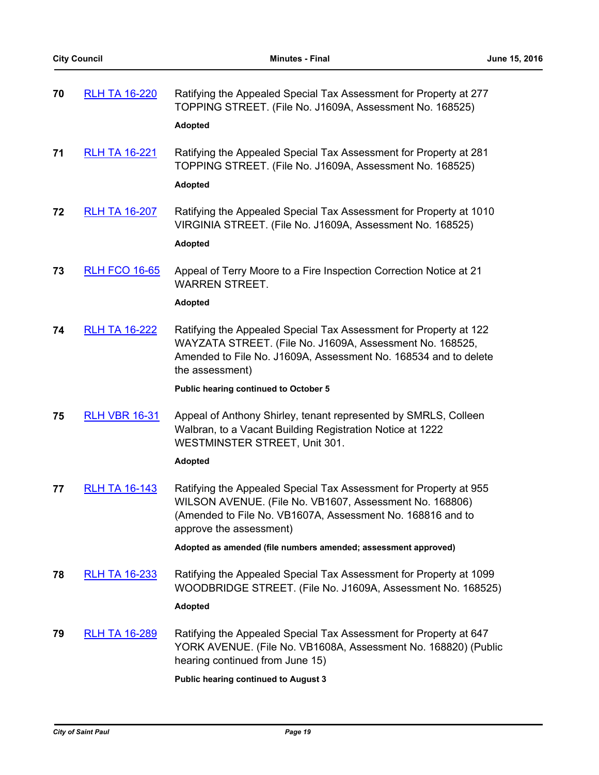| 70 | <b>RLH TA 16-220</b> | Ratifying the Appealed Special Tax Assessment for Property at 277<br>TOPPING STREET. (File No. J1609A, Assessment No. 168525)<br><b>Adopted</b>                                                                                                                     |
|----|----------------------|---------------------------------------------------------------------------------------------------------------------------------------------------------------------------------------------------------------------------------------------------------------------|
| 71 | <b>RLH TA 16-221</b> | Ratifying the Appealed Special Tax Assessment for Property at 281<br>TOPPING STREET. (File No. J1609A, Assessment No. 168525)<br><b>Adopted</b>                                                                                                                     |
| 72 | <b>RLH TA 16-207</b> | Ratifying the Appealed Special Tax Assessment for Property at 1010<br>VIRGINIA STREET. (File No. J1609A, Assessment No. 168525)<br><b>Adopted</b>                                                                                                                   |
| 73 | <b>RLH FCO 16-65</b> | Appeal of Terry Moore to a Fire Inspection Correction Notice at 21<br><b>WARREN STREET.</b><br><b>Adopted</b>                                                                                                                                                       |
| 74 | <b>RLH TA 16-222</b> | Ratifying the Appealed Special Tax Assessment for Property at 122<br>WAYZATA STREET. (File No. J1609A, Assessment No. 168525,<br>Amended to File No. J1609A, Assessment No. 168534 and to delete<br>the assessment)<br><b>Public hearing continued to October 5</b> |
| 75 | <b>RLH VBR 16-31</b> | Appeal of Anthony Shirley, tenant represented by SMRLS, Colleen<br>Walbran, to a Vacant Building Registration Notice at 1222<br>WESTMINSTER STREET, Unit 301.<br><b>Adopted</b>                                                                                     |
| 77 | <b>RLH TA 16-143</b> | Ratifying the Appealed Special Tax Assessment for Property at 955<br>WILSON AVENUE. (File No. VB1607, Assessment No. 168806)<br>(Amended to File No. VB1607A, Assessment No. 168816 and to<br>approve the assessment)                                               |
| 78 | <b>RLH TA 16-233</b> | Adopted as amended (file numbers amended; assessment approved)<br>Ratifying the Appealed Special Tax Assessment for Property at 1099                                                                                                                                |
|    |                      | WOODBRIDGE STREET. (File No. J1609A, Assessment No. 168525)<br><b>Adopted</b>                                                                                                                                                                                       |
| 79 | <b>RLH TA 16-289</b> | Ratifying the Appealed Special Tax Assessment for Property at 647<br>YORK AVENUE. (File No. VB1608A, Assessment No. 168820) (Public<br>hearing continued from June 15)                                                                                              |
|    |                      | <b>Public hearing continued to August 3</b>                                                                                                                                                                                                                         |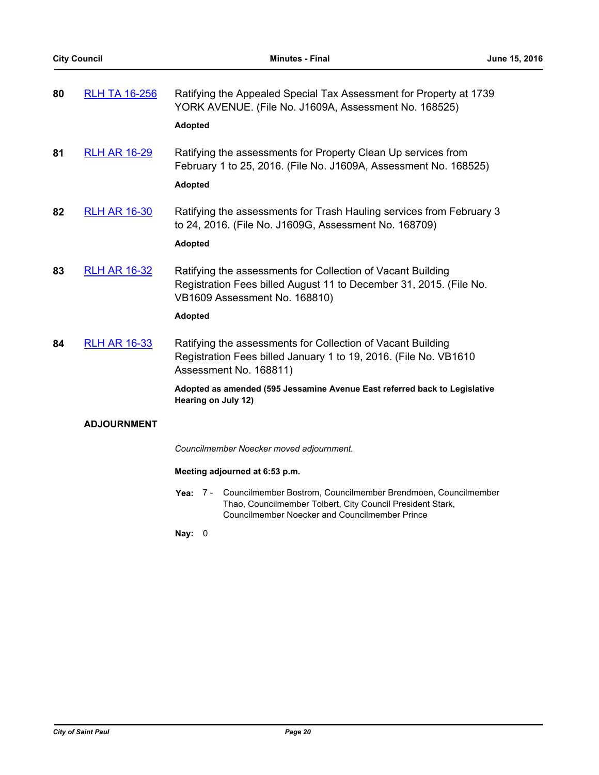| 80 | <b>RLH TA 16-256</b> | Ratifying the Appealed Special Tax Assessment for Property at 1739<br>YORK AVENUE. (File No. J1609A, Assessment No. 168525)<br><b>Adopted</b>                                                                                           |
|----|----------------------|-----------------------------------------------------------------------------------------------------------------------------------------------------------------------------------------------------------------------------------------|
| 81 | <b>RLH AR 16-29</b>  | Ratifying the assessments for Property Clean Up services from<br>February 1 to 25, 2016. (File No. J1609A, Assessment No. 168525)<br><b>Adopted</b>                                                                                     |
| 82 | <b>RLH AR 16-30</b>  | Ratifying the assessments for Trash Hauling services from February 3<br>to 24, 2016. (File No. J1609G, Assessment No. 168709)<br><b>Adopted</b>                                                                                         |
| 83 | <b>RLH AR 16-32</b>  | Ratifying the assessments for Collection of Vacant Building<br>Registration Fees billed August 11 to December 31, 2015. (File No.<br>VB1609 Assessment No. 168810)<br><b>Adopted</b>                                                    |
| 84 | <b>RLH AR 16-33</b>  | Ratifying the assessments for Collection of Vacant Building<br>Registration Fees billed January 1 to 19, 2016. (File No. VB1610<br>Assessment No. 168811)<br>Adopted as amended (595 Jessamine Avenue East referred back to Legislative |
|    | <b>ADJOURNMENT</b>   | Hearing on July 12)                                                                                                                                                                                                                     |
|    |                      | Councilmember Noecker moved adjournment.                                                                                                                                                                                                |
|    |                      | Meeting adjourned at 6:53 p.m.                                                                                                                                                                                                          |
|    |                      | Yea: 7 - Councilmember Bostrom, Councilmember Brendmoen, Councilmember                                                                                                                                                                  |

Thao, Councilmember Tolbert, City Council President Stark, Councilmember Noecker and Councilmember Prince